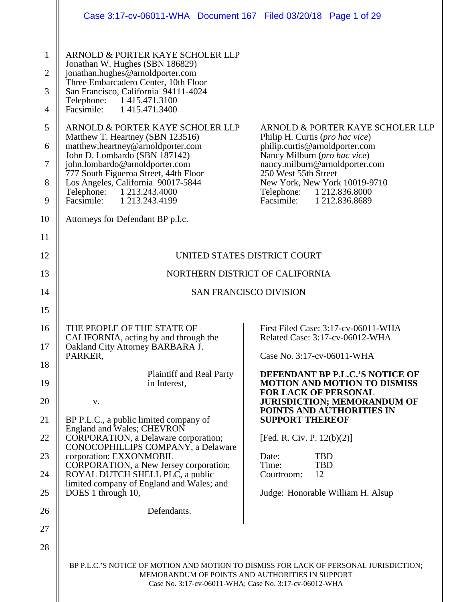|                                                                                     | Case 3:17-cv-06011-WHA Document 167 Filed 03/20/18 Page 1 of 29                                                                                                                                                                                                                                                                                                                                                                                                                                                                                                           |                                                                                                                                                                                                                                                                                                                                                                                                                                                    |  |
|-------------------------------------------------------------------------------------|---------------------------------------------------------------------------------------------------------------------------------------------------------------------------------------------------------------------------------------------------------------------------------------------------------------------------------------------------------------------------------------------------------------------------------------------------------------------------------------------------------------------------------------------------------------------------|----------------------------------------------------------------------------------------------------------------------------------------------------------------------------------------------------------------------------------------------------------------------------------------------------------------------------------------------------------------------------------------------------------------------------------------------------|--|
| $\mathbf{1}$<br>$\overline{2}$<br>3<br>$\overline{4}$<br>5<br>6<br>$\tau$<br>8<br>9 | ARNOLD & PORTER KAYE SCHOLER LLP<br>Jonathan W. Hughes (SBN 186829)<br>jonathan.hughes@arnoldporter.com<br>Three Embarcadero Center, 10th Floor<br>San Francisco, California 94111-4024<br>Telephone: 1415.471.3100<br>Facsimile: 1 415.471.3400<br>ARNOLD & PORTER KAYE SCHOLER LLP<br>Matthew T. Heartney (SBN 123516)<br>matthew.heartney@arnoldporter.com<br>John D. Lombardo (SBN 187142)<br>john.lombardo@arnoldporter.com<br>777 South Figueroa Street, 44th Floor<br>Los Angeles, California 90017-5844<br>Telephone: 1 213.243.4000<br>Facsimile: 1 213.243.4199 | ARNOLD & PORTER KAYE SCHOLER LLP<br>Philip H. Curtis (pro hac vice)<br>philip.curtis@arnoldporter.com<br>Nancy Milburn (pro hac vice)<br>nancy.milburn@arnoldporter.com<br>250 West 55th Street<br>New York, New York 10019-9710<br>Telephone: 1 212.836.8000<br>Facsimile: 1 212.836.8689                                                                                                                                                         |  |
| 10                                                                                  | Attorneys for Defendant BP p.l.c.                                                                                                                                                                                                                                                                                                                                                                                                                                                                                                                                         |                                                                                                                                                                                                                                                                                                                                                                                                                                                    |  |
| 11<br>12<br>13                                                                      | UNITED STATES DISTRICT COURT<br>NORTHERN DISTRICT OF CALIFORNIA                                                                                                                                                                                                                                                                                                                                                                                                                                                                                                           |                                                                                                                                                                                                                                                                                                                                                                                                                                                    |  |
| 14                                                                                  | <b>SAN FRANCISCO DIVISION</b>                                                                                                                                                                                                                                                                                                                                                                                                                                                                                                                                             |                                                                                                                                                                                                                                                                                                                                                                                                                                                    |  |
| 15                                                                                  |                                                                                                                                                                                                                                                                                                                                                                                                                                                                                                                                                                           |                                                                                                                                                                                                                                                                                                                                                                                                                                                    |  |
| 16<br>17<br>18<br>19<br>20<br>21<br>22<br>23<br>24<br>25<br>26                      | THE PEOPLE OF THE STATE OF<br>CALIFORNIA, acting by and through the<br>Oakland City Attorney BARBARA J.<br>PARKER,<br><b>Plaintiff and Real Party</b><br>in Interest,<br>V.<br>BP P.L.C., a public limited company of<br>England and Wales; CHEVRON<br>CORPORATION, a Delaware corporation;<br>CONOCOPHILLIPS COMPANY, a Delaware<br>corporation; EXXONMOBIL<br>CORPORATION, a New Jersey corporation;<br>ROYAL DUTCH SHELL PLC, a public<br>limited company of England and Wales; and<br>DOES 1 through 10,<br>Defendants.                                               | First Filed Case: 3:17-cv-06011-WHA<br>Related Case: 3:17-cv-06012-WHA<br>Case No. 3:17-cv-06011-WHA<br>DEFENDANT BP P.L.C.'S NOTICE OF<br><b>MOTION AND MOTION TO DISMISS</b><br><b>FOR LACK OF PERSONAL</b><br><b>JURISDICTION; MEMORANDUM OF</b><br>POINTS AND AUTHORITIES IN<br><b>SUPPORT THEREOF</b><br>[Fed. R. Civ. P. $12(b)(2)$ ]<br><b>TBD</b><br>Date:<br>Time:<br><b>TBD</b><br>12<br>Courtroom:<br>Judge: Honorable William H. Alsup |  |
| 27<br>28                                                                            | BP P.L.C.'S NOTICE OF MOTION AND MOTION TO DISMISS FOR LACK OF PERSONAL JURISDICTION;<br>MEMORANDUM OF POINTS AND AUTHORITIES IN SUPPORT                                                                                                                                                                                                                                                                                                                                                                                                                                  |                                                                                                                                                                                                                                                                                                                                                                                                                                                    |  |

Case No. 3:17-cv-06011-WHA; Case No. 3:17-cv-06012-WHA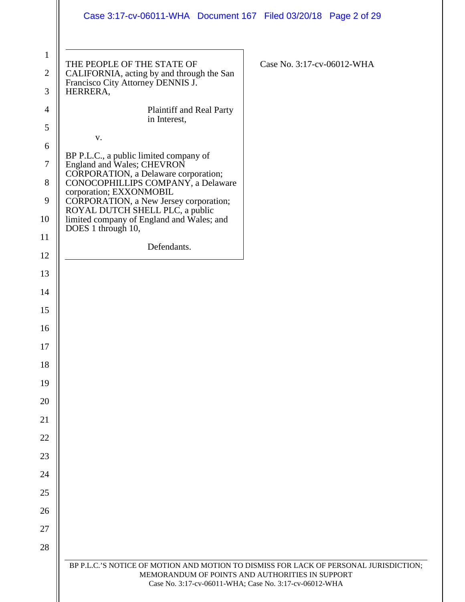|                                     | Case 3:17-cv-06011-WHA  Document 167  Filed 03/20/18  Page 2 of 29                                                                                                                                 |
|-------------------------------------|----------------------------------------------------------------------------------------------------------------------------------------------------------------------------------------------------|
| $\mathbf{1}$<br>$\overline{2}$<br>3 | THE PEOPLE OF THE STATE OF<br>Case No. 3:17-cv-06012-WHA<br>CALIFORNIA, acting by and through the San<br>Francisco City Attorney DENNIS J.<br>HERRERA,                                             |
| $\overline{4}$                      | Plaintiff and Real Party                                                                                                                                                                           |
| 5                                   | in Interest,                                                                                                                                                                                       |
| 6                                   | V.                                                                                                                                                                                                 |
| 7                                   | BP P.L.C., a public limited company of<br>England and Wales; CHEVRON                                                                                                                               |
| 8                                   | CORPORATION, a Delaware corporation;<br>CONOCOPHILLIPS COMPANY, a Delaware                                                                                                                         |
| 9                                   | corporation; EXXONMOBIL<br>CORPORATION, a New Jersey corporation;<br>ROYAL DUTCH SHELL PLC, a public                                                                                               |
| 10                                  | limited company of England and Wales; and                                                                                                                                                          |
| 11                                  | DOES 1 through 10,                                                                                                                                                                                 |
| 12                                  | Defendants.                                                                                                                                                                                        |
| 13                                  |                                                                                                                                                                                                    |
| 14                                  |                                                                                                                                                                                                    |
| 15                                  |                                                                                                                                                                                                    |
| 16                                  |                                                                                                                                                                                                    |
| 17                                  |                                                                                                                                                                                                    |
| 18                                  |                                                                                                                                                                                                    |
| 19                                  |                                                                                                                                                                                                    |
| 20                                  |                                                                                                                                                                                                    |
| 21                                  |                                                                                                                                                                                                    |
| 22                                  |                                                                                                                                                                                                    |
| 23                                  |                                                                                                                                                                                                    |
| 24                                  |                                                                                                                                                                                                    |
| 25                                  |                                                                                                                                                                                                    |
| 26                                  |                                                                                                                                                                                                    |
| 27                                  |                                                                                                                                                                                                    |
| 28                                  |                                                                                                                                                                                                    |
|                                     | BP P.L.C.'S NOTICE OF MOTION AND MOTION TO DISMISS FOR LACK OF PERSONAL JURISDICTION;<br>MEMORANDUM OF POINTS AND AUTHORITIES IN SUPPORT<br>Case No. 3:17-cv-06011-WHA; Case No. 3:17-cv-06012-WHA |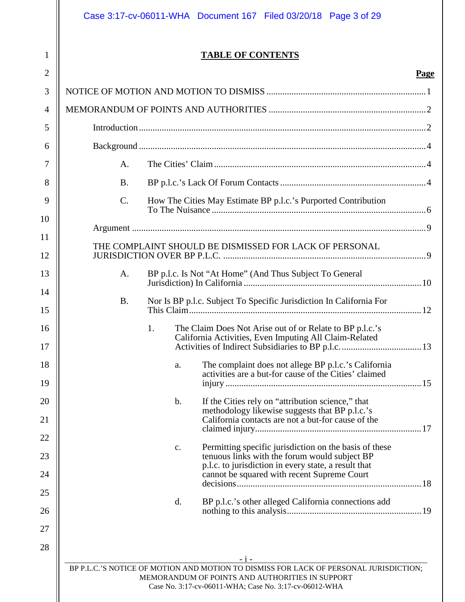Case 3:17-cv-06011-WHA Document 167 Filed 03/20/18 Page 3 of 29

1

# **TABLE OF CONTENTS**

# **Page**

| $\overline{2}$ |                                                                                                                                                                                                             | Page |  |
|----------------|-------------------------------------------------------------------------------------------------------------------------------------------------------------------------------------------------------------|------|--|
| 3              |                                                                                                                                                                                                             |      |  |
| $\overline{4}$ |                                                                                                                                                                                                             |      |  |
| 5              |                                                                                                                                                                                                             |      |  |
| 6              |                                                                                                                                                                                                             |      |  |
| 7              | A.                                                                                                                                                                                                          |      |  |
| 8              | <b>B.</b>                                                                                                                                                                                                   |      |  |
| 9              | How The Cities May Estimate BP p.l.c.'s Purported Contribution<br>$\mathbf{C}$ .                                                                                                                            |      |  |
| 10             |                                                                                                                                                                                                             |      |  |
| 11             |                                                                                                                                                                                                             |      |  |
| 12             | THE COMPLAINT SHOULD BE DISMISSED FOR LACK OF PERSONAL                                                                                                                                                      |      |  |
| 13             | BP p.l.c. Is Not "At Home" (And Thus Subject To General<br>A.                                                                                                                                               |      |  |
| 14             |                                                                                                                                                                                                             |      |  |
| 15             | Nor Is BP p.l.c. Subject To Specific Jurisdiction In California For<br><b>B.</b>                                                                                                                            |      |  |
| 16             | The Claim Does Not Arise out of or Relate to BP p.l.c.'s<br>1.                                                                                                                                              |      |  |
| 17             | California Activities, Even Imputing All Claim-Related                                                                                                                                                      |      |  |
| 18             | The complaint does not allege BP p.l.c.'s California<br>a.<br>activities are a but-for cause of the Cities' claimed                                                                                         |      |  |
| 19             |                                                                                                                                                                                                             |      |  |
| 20             | If the Cities rely on "attribution science," that<br>b.<br>methodology likewise suggests that BP p.l.c.'s                                                                                                   |      |  |
| 21             | California contacts are not a but-for cause of the                                                                                                                                                          |      |  |
| 22             |                                                                                                                                                                                                             |      |  |
| 23             | Permitting specific jurisdiction on the basis of these<br>$\mathbf{C}$ .<br>tenuous links with the forum would subject BP                                                                                   |      |  |
| 24             | p.l.c. to jurisdiction in every state, a result that<br>cannot be squared with recent Supreme Court                                                                                                         |      |  |
| 25             |                                                                                                                                                                                                             |      |  |
| 26             | BP p.l.c.'s other alleged California connections add<br>d.                                                                                                                                                  |      |  |
| 27             |                                                                                                                                                                                                             |      |  |
| 28             |                                                                                                                                                                                                             |      |  |
|                | $-1-$<br>BP P.L.C.'S NOTICE OF MOTION AND MOTION TO DISMISS FOR LACK OF PERSONAL JURISDICTION;<br>MEMORANDUM OF POINTS AND AUTHORITIES IN SUPPORT<br>Case No. 3:17-cv-06011-WHA; Case No. 3:17-cv-06012-WHA |      |  |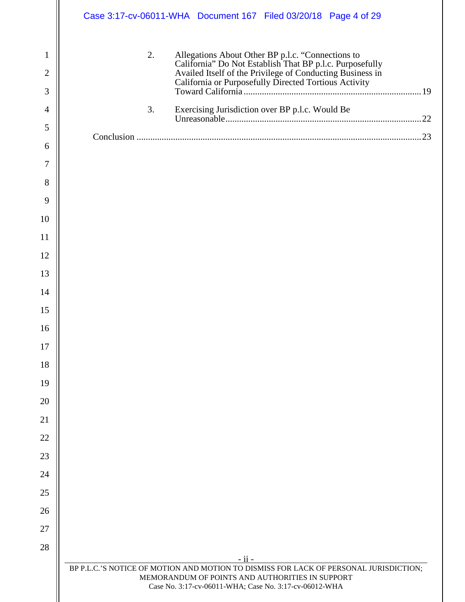|                     |    | Case 3:17-cv-06011-WHA  Document 167  Filed 03/20/18  Page 4 of 29                                                                                                                                                                  |  |
|---------------------|----|-------------------------------------------------------------------------------------------------------------------------------------------------------------------------------------------------------------------------------------|--|
| 1<br>$\overline{2}$ | 2. | Allegations About Other BP p.l.c. "Connections to<br>California" Do Not Establish That BP p.l.c. Purposefully<br>Availed Itself of the Privilege of Conducting Business in<br>California or Purposefully Directed Tortious Activity |  |
| 3                   |    |                                                                                                                                                                                                                                     |  |
| $\overline{4}$      | 3. | Exercising Jurisdiction over BP p.l.c. Would Be                                                                                                                                                                                     |  |
| 5                   |    |                                                                                                                                                                                                                                     |  |
| 6                   |    |                                                                                                                                                                                                                                     |  |
| 7                   |    |                                                                                                                                                                                                                                     |  |
| 8                   |    |                                                                                                                                                                                                                                     |  |
| 9                   |    |                                                                                                                                                                                                                                     |  |
| 10                  |    |                                                                                                                                                                                                                                     |  |
| 11                  |    |                                                                                                                                                                                                                                     |  |
| 12                  |    |                                                                                                                                                                                                                                     |  |
| 13                  |    |                                                                                                                                                                                                                                     |  |
| 14                  |    |                                                                                                                                                                                                                                     |  |
| 15                  |    |                                                                                                                                                                                                                                     |  |
| 16                  |    |                                                                                                                                                                                                                                     |  |
| 17                  |    |                                                                                                                                                                                                                                     |  |
| 18                  |    |                                                                                                                                                                                                                                     |  |
| 19                  |    |                                                                                                                                                                                                                                     |  |
| 20                  |    |                                                                                                                                                                                                                                     |  |
| 21                  |    |                                                                                                                                                                                                                                     |  |
| 22                  |    |                                                                                                                                                                                                                                     |  |
| 23                  |    |                                                                                                                                                                                                                                     |  |
| 24                  |    |                                                                                                                                                                                                                                     |  |
| 25                  |    |                                                                                                                                                                                                                                     |  |
| 26                  |    |                                                                                                                                                                                                                                     |  |
| 27                  |    |                                                                                                                                                                                                                                     |  |
| 28                  |    | - ii -                                                                                                                                                                                                                              |  |
|                     |    | BP P.L.C.'S NOTICE OF MOTION AND MOTION TO DISMISS FOR LACK OF PERSONAL JURISDICTION;<br>MEMORANDUM OF POINTS AND AUTHORITIES IN SUPPORT<br>Case No. 3:17-cv-06011-WHA; Case No. 3:17-cv-06012-WHA                                  |  |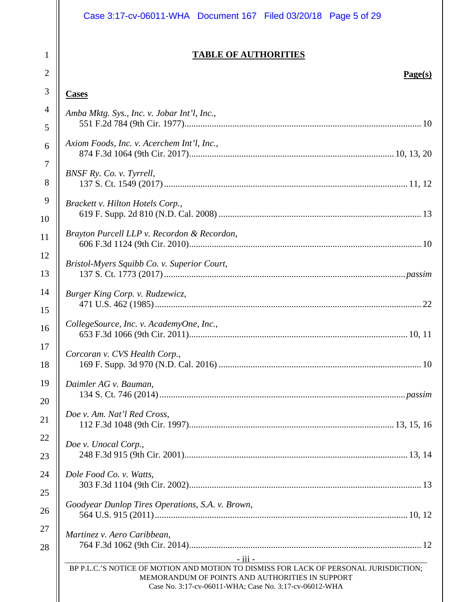# Case 3:17-cv-06011-WHA Document 167 Filed 03/20/18 Page 5 of 29

# **TABLE OF AUTHORITIES**

# **Page(s)**

# **Cases**

1

2

3

| $\overline{4}$ | Amba Mktg. Sys., Inc. v. Jobar Int'l, Inc.,                                                                                                                                                                       |
|----------------|-------------------------------------------------------------------------------------------------------------------------------------------------------------------------------------------------------------------|
| 5              |                                                                                                                                                                                                                   |
| 6              | Axiom Foods, Inc. v. Acerchem Int'l, Inc.,                                                                                                                                                                        |
| $\tau$         | BNSF Ry. Co. v. Tyrrell,                                                                                                                                                                                          |
| 8              |                                                                                                                                                                                                                   |
| 9              | Brackett v. Hilton Hotels Corp.,                                                                                                                                                                                  |
| 10             |                                                                                                                                                                                                                   |
| 11             | Brayton Purcell LLP v. Recordon & Recordon,                                                                                                                                                                       |
| 12             | Bristol-Myers Squibb Co. v. Superior Court,                                                                                                                                                                       |
| 13             |                                                                                                                                                                                                                   |
| 14             | Burger King Corp. v. Rudzewicz,                                                                                                                                                                                   |
| 15             |                                                                                                                                                                                                                   |
| 16             | CollegeSource, Inc. v. AcademyOne, Inc.,                                                                                                                                                                          |
| 17             | Corcoran v. CVS Health Corp.,                                                                                                                                                                                     |
| 18             |                                                                                                                                                                                                                   |
| 19             | Daimler AG v. Bauman,                                                                                                                                                                                             |
| 20             |                                                                                                                                                                                                                   |
| 21             | Doe v. Am. Nat'l Red Cross,                                                                                                                                                                                       |
| 22             | Doe v. Unocal Corp.,                                                                                                                                                                                              |
| 23             |                                                                                                                                                                                                                   |
| 24             | Dole Food Co. v. Watts,                                                                                                                                                                                           |
| 25             |                                                                                                                                                                                                                   |
| 26             | Goodyear Dunlop Tires Operations, S.A. v. Brown,                                                                                                                                                                  |
| 27             | Martinez v. Aero Caribbean,                                                                                                                                                                                       |
| 28             |                                                                                                                                                                                                                   |
|                | $-$ iii $-$<br>BP P.L.C.'S NOTICE OF MOTION AND MOTION TO DISMISS FOR LACK OF PERSONAL JURISDICTION:<br>MEMORANDUM OF POINTS AND AUTHORITIES IN SUPPORT<br>Case No. 3:17-cv-06011-WHA; Case No. 3:17-cv-06012-WHA |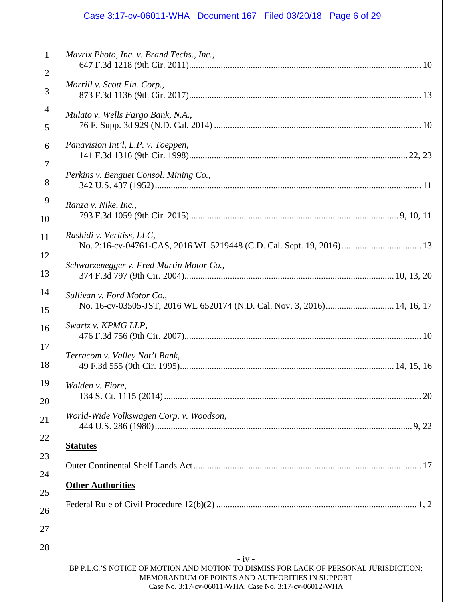# Case 3:17-cv-06011-WHA Document 167 Filed 03/20/18 Page 6 of 29

| $\mathbf{1}$   | Mavrix Photo, Inc. v. Brand Techs., Inc.,                                                                 |  |  |
|----------------|-----------------------------------------------------------------------------------------------------------|--|--|
| $\overline{2}$ |                                                                                                           |  |  |
| 3              | Morrill v. Scott Fin. Corp.,                                                                              |  |  |
| $\overline{4}$ | Mulato v. Wells Fargo Bank, N.A.,                                                                         |  |  |
| 5              |                                                                                                           |  |  |
| 6              | Panavision Int'l, L.P. v. Toeppen,                                                                        |  |  |
| $\overline{7}$ |                                                                                                           |  |  |
| 8              | Perkins v. Benguet Consol. Mining Co.,                                                                    |  |  |
| 9              | Ranza v. Nike, Inc.,                                                                                      |  |  |
| 10             |                                                                                                           |  |  |
| 11             | Rashidi v. Veritiss, LLC,                                                                                 |  |  |
| 12             |                                                                                                           |  |  |
| 13             | Schwarzenegger v. Fred Martin Motor Co.,                                                                  |  |  |
| 14             | Sullivan v. Ford Motor Co.,                                                                               |  |  |
| 15             | No. 16-cv-03505-JST, 2016 WL 6520174 (N.D. Cal. Nov. 3, 2016) 14, 16, 17                                  |  |  |
| 16             | Swartz v. KPMG LLP,                                                                                       |  |  |
| 17<br>18       | Terracom v. Valley Nat'l Bank,                                                                            |  |  |
| 19             | Walden v. Fiore,                                                                                          |  |  |
| 20             |                                                                                                           |  |  |
| 21             | World-Wide Volkswagen Corp. v. Woodson,                                                                   |  |  |
| 22             | <b>Statutes</b>                                                                                           |  |  |
| 23             |                                                                                                           |  |  |
| 24             | <b>Other Authorities</b>                                                                                  |  |  |
| 25             |                                                                                                           |  |  |
| 26             |                                                                                                           |  |  |
| 27             |                                                                                                           |  |  |
| 28             | $-iv -$                                                                                                   |  |  |
|                | BP P.L.C.'S NOTICE OF MOTION AND MOTION TO DISMISS FOR LACK OF PERSONAL JURISDICTION;                     |  |  |
|                | MEMORANDUM OF POINTS AND AUTHORITIES IN SUPPORT<br>Case No. 3:17-cv-06011-WHA; Case No. 3:17-cv-06012-WHA |  |  |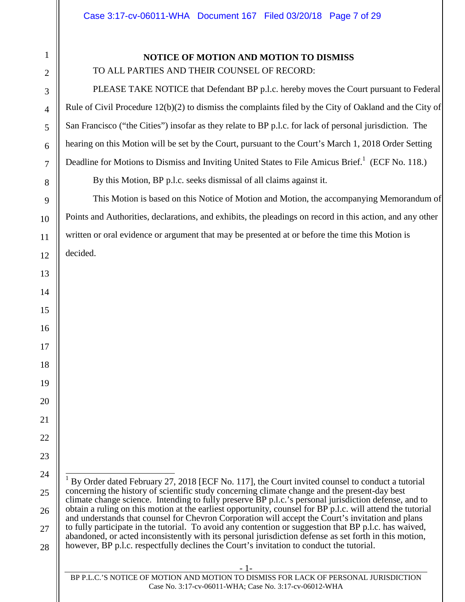#### **NOTICE OF MOTION AND MOTION TO DISMISS**

TO ALL PARTIES AND THEIR COUNSEL OF RECORD:

PLEASE TAKE NOTICE that Defendant BP p.l.c. hereby moves the Court pursuant to Federal Rule of Civil Procedure 12(b)(2) to dismiss the complaints filed by the City of Oakland and the City of San Francisco ("the Cities") insofar as they relate to BP p.l.c. for lack of personal jurisdiction. The hearing on this Motion will be set by the Court, pursuant to the Court's March 1, 2018 Order Setting Deadline for Motions to Dismiss and Inviting United States to File Amicus Brief.<sup>1</sup> (ECF No. 118.)

By this Motion, BP p.l.c. seeks dismissal of all claims against it.

This Motion is based on this Notice of Motion and Motion, the accompanying Memorandum of Points and Authorities, declarations, and exhibits, the pleadings on record in this action, and any other written or oral evidence or argument that may be presented at or before the time this Motion is decided.

<sup>1</sup> By Order dated February 27, 2018 [ECF No. 117], the Court invited counsel to conduct a tutorial concerning the history of scientific study concerning climate change and the present-day best climate change science. Intending to fully preserve BP p.l.c.'s personal jurisdiction defense, and to obtain a ruling on this motion at the earliest opportunity, counsel for BP p.l.c. will attend the tutorial and understands that counsel for Chevron Corporation will accept the Court's invitation and plans to fully participate in the tutorial. To avoid any contention or suggestion that BP p.l.c. has waived, abandoned, or acted inconsistently with its personal jurisdiction defense as set forth in this motion, however, BP p.l.c. respectfully declines the Court's invitation to conduct the tutorial.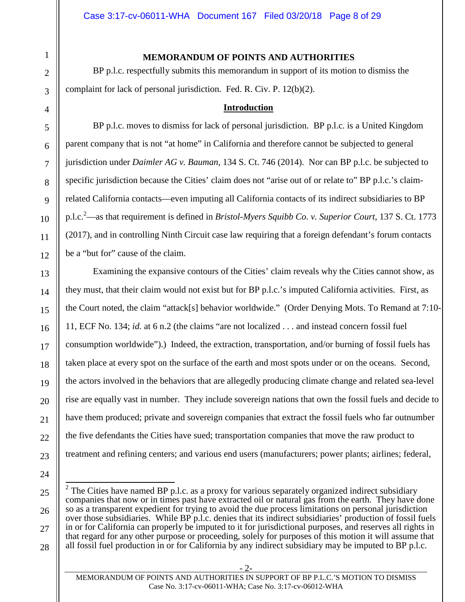#### **MEMORANDUM OF POINTS AND AUTHORITIES**

BP p.l.c. respectfully submits this memorandum in support of its motion to dismiss the complaint for lack of personal jurisdiction. Fed. R. Civ. P. 12(b)(2).

#### **Introduction**

BP p.l.c. moves to dismiss for lack of personal jurisdiction. BP p.l.c. is a United Kingdom parent company that is not "at home" in California and therefore cannot be subjected to general jurisdiction under *Daimler AG v. Bauman*, 134 S. Ct. 746 (2014). Nor can BP p.l.c. be subjected to specific jurisdiction because the Cities' claim does not "arise out of or relate to" BP p.l.c.'s claimrelated California contacts—even imputing all California contacts of its indirect subsidiaries to BP p.l.c.<sup>2</sup>—as that requirement is defined in *Bristol-Myers Squibb Co. v. Superior Court*, 137 S. Ct. 1773 (2017), and in controlling Ninth Circuit case law requiring that a foreign defendant's forum contacts be a "but for" cause of the claim.

Examining the expansive contours of the Cities' claim reveals why the Cities cannot show, as they must, that their claim would not exist but for BP p.l.c.'s imputed California activities. First, as the Court noted, the claim "attack[s] behavior worldwide." (Order Denying Mots. To Remand at 7:10- 11, ECF No. 134; *id.* at 6 n.2 (the claims "are not localized . . . and instead concern fossil fuel consumption worldwide").) Indeed, the extraction, transportation, and/or burning of fossil fuels has taken place at every spot on the surface of the earth and most spots under or on the oceans. Second, the actors involved in the behaviors that are allegedly producing climate change and related sea-level rise are equally vast in number. They include sovereign nations that own the fossil fuels and decide to have them produced; private and sovereign companies that extract the fossil fuels who far outnumber the five defendants the Cities have sued; transportation companies that move the raw product to treatment and refining centers; and various end users (manufacturers; power plants; airlines; federal,

<sup>&</sup>lt;sup>2</sup> The Cities have named BP p.l.c. as a proxy for various separately organized indirect subsidiary companies that now or in times past have extracted oil or natural gas from the earth. They have done so as a transparent expedient for trying to avoid the due process limitations on personal jurisdiction over those subsidiaries. While BP p.l.c. denies that its indirect subsidiaries' production of fossil fuels in or for California can properly be imputed to it for jurisdictional purposes, and reserves all rights in that regard for any other purpose or proceeding, solely for purposes of this motion it will assume that all fossil fuel production in or for California by any indirect subsidiary may be imputed to BP p.l.c.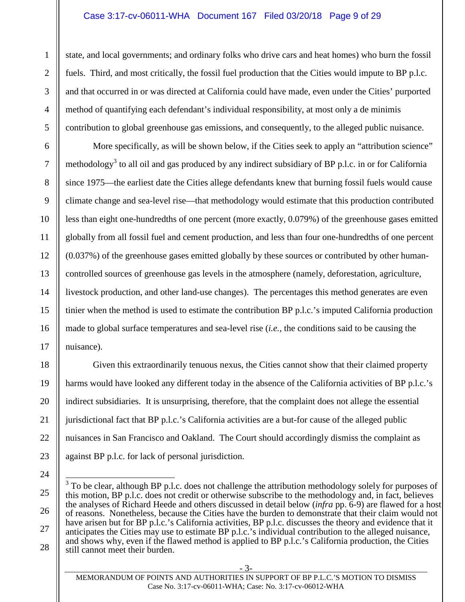#### Case 3:17-cv-06011-WHA Document 167 Filed 03/20/18 Page 9 of 29

state, and local governments; and ordinary folks who drive cars and heat homes) who burn the fossil fuels. Third, and most critically, the fossil fuel production that the Cities would impute to BP p.l.c. and that occurred in or was directed at California could have made, even under the Cities' purported method of quantifying each defendant's individual responsibility, at most only a de minimis contribution to global greenhouse gas emissions, and consequently, to the alleged public nuisance.

More specifically, as will be shown below, if the Cities seek to apply an "attribution science" methodology<sup>3</sup> to all oil and gas produced by any indirect subsidiary of BP p.l.c. in or for California since 1975—the earliest date the Cities allege defendants knew that burning fossil fuels would cause climate change and sea-level rise—that methodology would estimate that this production contributed less than eight one-hundredths of one percent (more exactly, 0.079%) of the greenhouse gases emitted globally from all fossil fuel and cement production, and less than four one-hundredths of one percent (0.037%) of the greenhouse gases emitted globally by these sources or contributed by other humancontrolled sources of greenhouse gas levels in the atmosphere (namely, deforestation, agriculture, livestock production, and other land-use changes). The percentages this method generates are even tinier when the method is used to estimate the contribution BP p.l.c.'s imputed California production made to global surface temperatures and sea-level rise (*i.e.*, the conditions said to be causing the nuisance).

Given this extraordinarily tenuous nexus, the Cities cannot show that their claimed property harms would have looked any different today in the absence of the California activities of BP p.l.c.'s indirect subsidiaries. It is unsurprising, therefore, that the complaint does not allege the essential jurisdictional fact that BP p.l.c.'s California activities are a but-for cause of the alleged public nuisances in San Francisco and Oakland. The Court should accordingly dismiss the complaint as against BP p.l.c. for lack of personal jurisdiction.

MEMORANDUM OF POINTS AND AUTHORITIES IN SUPPORT OF BP P.L.C.'S MOTION TO DISMISS Case No. 3:17-cv-06011-WHA; Case: No. 3:17-cv-06012-WHA

 $3$  To be clear, although BP p.l.c. does not challenge the attribution methodology solely for purposes of this motion, BP p.l.c. does not credit or otherwise subscribe to the methodology and, in fact, believes the analyses of Richard Heede and others discussed in detail below (*infra* pp. 6-9) are flawed for a host of reasons. Nonetheless, because the Cities have the burden to demonstrate that their claim would not have arisen but for BP p.l.c.'s California activities, BP p.l.c. discusses the theory and evidence that it anticipates the Cities may use to estimate BP p.l.c.'s individual contribution to the alleged nuisance, and shows why, even if the flawed method is applied to BP p.l.c.'s California production, the Cities still cannot meet their burden.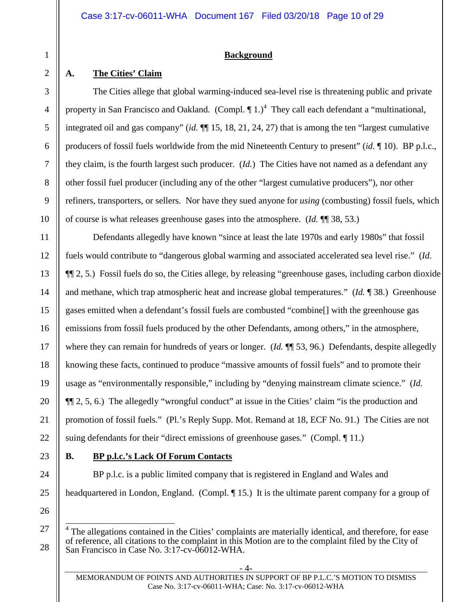#### **Background**

# **A. The Cities' Claim**

The Cities allege that global warming-induced sea-level rise is threatening public and private property in San Francisco and Oakland. (Compl.  $\P$ 1.)<sup>4</sup> They call each defendant a "multinational, integrated oil and gas company" (*id.* ¶¶ 15, 18, 21, 24, 27) that is among the ten "largest cumulative producers of fossil fuels worldwide from the mid Nineteenth Century to present" (*id.* ¶ 10). BP p.l.c., they claim, is the fourth largest such producer. (*Id.*) The Cities have not named as a defendant any other fossil fuel producer (including any of the other "largest cumulative producers"), nor other refiners, transporters, or sellers. Nor have they sued anyone for *using* (combusting) fossil fuels, which of course is what releases greenhouse gases into the atmosphere. (*Id.* ¶¶ 38, 53.)

Defendants allegedly have known "since at least the late 1970s and early 1980s" that fossil fuels would contribute to "dangerous global warming and associated accelerated sea level rise." (*Id.* ¶¶ 2, 5.) Fossil fuels do so, the Cities allege, by releasing "greenhouse gases, including carbon dioxide and methane, which trap atmospheric heat and increase global temperatures." (*Id.* ¶ 38.) Greenhouse gases emitted when a defendant's fossil fuels are combusted "combine[] with the greenhouse gas emissions from fossil fuels produced by the other Defendants, among others," in the atmosphere, where they can remain for hundreds of years or longer. (*Id.* ¶¶ 53, 96.) Defendants, despite allegedly knowing these facts, continued to produce "massive amounts of fossil fuels" and to promote their usage as "environmentally responsible," including by "denying mainstream climate science." (*Id.* ¶¶ 2, 5, 6.) The allegedly "wrongful conduct" at issue in the Cities' claim "is the production and promotion of fossil fuels." (Pl.'s Reply Supp. Mot. Remand at 18, ECF No. 91.) The Cities are not suing defendants for their "direct emissions of greenhouse gases." (Compl. 11.)

# **B. BP p.l.c.'s Lack Of Forum Contacts**

BP p.l.c. is a public limited company that is registered in England and Wales and headquartered in London, England. (Compl. 15.) It is the ultimate parent company for a group of

<sup>&</sup>lt;sup>4</sup> The allegations contained in the Cities' complaints are materially identical, and therefore, for ease of reference, all citations to the complaint in this Motion are to the complaint filed by the City of San Francisco in Case No. 3:17-cv-06012-WHA.

MEMORANDUM OF POINTS AND AUTHORITIES IN SUPPORT OF BP P.L.C.'S MOTION TO DISMISS Case No. 3:17-cv-06011-WHA; Case: No. 3:17-cv-06012-WHA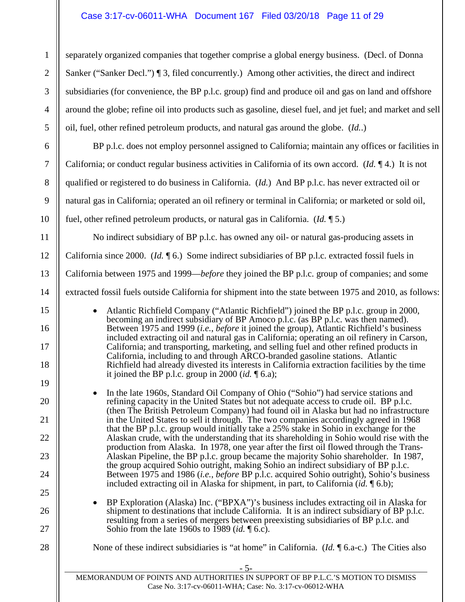### Case 3:17-cv-06011-WHA Document 167 Filed 03/20/18 Page 11 of 29

separately organized companies that together comprise a global energy business. (Decl. of Donna Sanker ("Sanker Decl.") ¶ 3, filed concurrently.) Among other activities, the direct and indirect subsidiaries (for convenience, the BP p.l.c. group) find and produce oil and gas on land and offshore around the globe; refine oil into products such as gasoline, diesel fuel, and jet fuel; and market and sell oil, fuel, other refined petroleum products, and natural gas around the globe. (*Id.*.)

BP p.l.c. does not employ personnel assigned to California; maintain any offices or facilities in California; or conduct regular business activities in California of its own accord. (*Id.* ¶ 4.) It is not qualified or registered to do business in California. (*Id.*) And BP p.l.c. has never extracted oil or natural gas in California; operated an oil refinery or terminal in California; or marketed or sold oil, fuel, other refined petroleum products, or natural gas in California. (*Id.* ¶ 5.)

No indirect subsidiary of BP p.l.c. has owned any oil- or natural gas-producing assets in California since 2000. (*Id.* ¶ 6.) Some indirect subsidiaries of BP p.l.c. extracted fossil fuels in California between 1975 and 1999—*before* they joined the BP p.l.c. group of companies; and some extracted fossil fuels outside California for shipment into the state between 1975 and 2010, as follows:

• Atlantic Richfield Company ("Atlantic Richfield") joined the BP p.l.c. group in 2000, becoming an indirect subsidiary of BP Amoco p.l.c. (as BP p.l.c. was then named). Between 1975 and 1999 (*i.e.*, *before* it joined the group), Atlantic Richfield's business included extracting oil and natural gas in California; operating an oil refinery in Carson, California; and transporting, marketing, and selling fuel and other refined products in California, including to and through ARCO-branded gasoline stations. Atlantic Richfield had already divested its interests in California extraction facilities by the time it joined the BP p.l.c. group in 2000 (*id.*  $\P$  6.a);

• In the late 1960s, Standard Oil Company of Ohio ("Sohio") had service stations and refining capacity in the United States but not adequate access to crude oil. BP p.l.c. (then The British Petroleum Company) had found oil in Alaska but had no infrastructure in the United States to sell it through. The two companies accordingly agreed in 1968 that the BP p.l.c. group would initially take a 25% stake in Sohio in exchange for the Alaskan crude, with the understanding that its shareholding in Sohio would rise with the production from Alaska. In 1978, one year after the first oil flowed through the Trans-Alaskan Pipeline, the BP p.l.c. group became the majority Sohio shareholder. In 1987, the group acquired Sohio outright, making Sohio an indirect subsidiary of BP p.l.c. Between 1975 and 1986 (*i.e.*, *before* BP p.l.c. acquired Sohio outright), Sohio's business included extracting oil in Alaska for shipment, in part, to California (*id.* ¶ 6.b);

• BP Exploration (Alaska) Inc. ("BPXA")'s business includes extracting oil in Alaska for shipment to destinations that include California. It is an indirect subsidiary of BP p.l.c. resulting from a series of mergers between preexisting subsidiaries of BP p.l.c. and Sohio from the late 1960s to 1989 (*id.* ¶ 6.c).

None of these indirect subsidiaries is "at home" in California. (*Id.* ¶ 6.a-c.) The Cities also

- 5-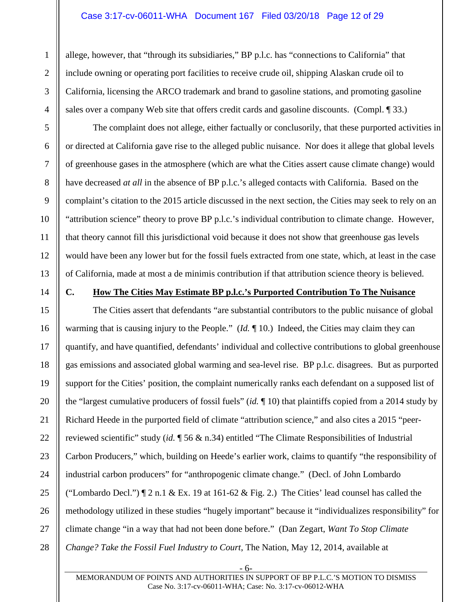#### Case 3:17-cv-06011-WHA Document 167 Filed 03/20/18 Page 12 of 29

allege, however, that "through its subsidiaries," BP p.l.c. has "connections to California" that include owning or operating port facilities to receive crude oil, shipping Alaskan crude oil to California, licensing the ARCO trademark and brand to gasoline stations, and promoting gasoline sales over a company Web site that offers credit cards and gasoline discounts. (Compl. ¶ 33.)

The complaint does not allege, either factually or conclusorily, that these purported activities in or directed at California gave rise to the alleged public nuisance. Nor does it allege that global levels of greenhouse gases in the atmosphere (which are what the Cities assert cause climate change) would have decreased *at all* in the absence of BP p.l.c.'s alleged contacts with California. Based on the complaint's citation to the 2015 article discussed in the next section, the Cities may seek to rely on an "attribution science" theory to prove BP p.l.c.'s individual contribution to climate change. However, that theory cannot fill this jurisdictional void because it does not show that greenhouse gas levels would have been any lower but for the fossil fuels extracted from one state, which, at least in the case of California, made at most a de minimis contribution if that attribution science theory is believed.

# **C. How The Cities May Estimate BP p.l.c.'s Purported Contribution To The Nuisance**

The Cities assert that defendants "are substantial contributors to the public nuisance of global warming that is causing injury to the People." (*Id.* ¶ 10.) Indeed, the Cities may claim they can quantify, and have quantified, defendants' individual and collective contributions to global greenhouse gas emissions and associated global warming and sea-level rise. BP p.l.c. disagrees. But as purported support for the Cities' position, the complaint numerically ranks each defendant on a supposed list of the "largest cumulative producers of fossil fuels" (*id.* ¶ 10) that plaintiffs copied from a 2014 study by Richard Heede in the purported field of climate "attribution science," and also cites a 2015 "peerreviewed scientific" study (*id.* ¶ 56 & n.34) entitled "The Climate Responsibilities of Industrial Carbon Producers," which, building on Heede's earlier work, claims to quantify "the responsibility of industrial carbon producers" for "anthropogenic climate change." (Decl. of John Lombardo ("Lombardo Decl.")  $\P$  2 n.1 & Ex. 19 at 161-62 & Fig. 2.) The Cities' lead counsel has called the methodology utilized in these studies "hugely important" because it "individualizes responsibility" for climate change "in a way that had not been done before." (Dan Zegart, *Want To Stop Climate Change? Take the Fossil Fuel Industry to Court*, The Nation, May 12, 2014, available at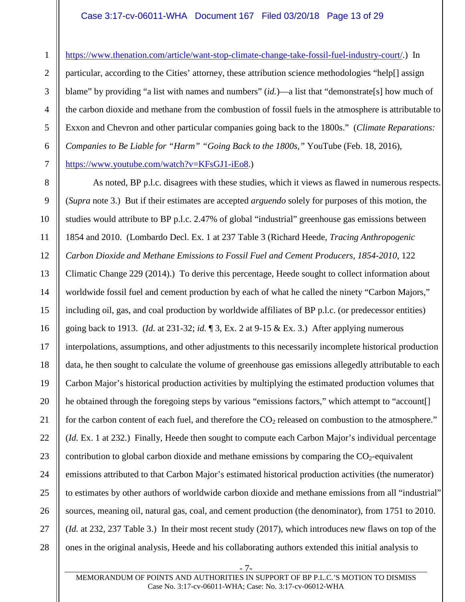### Case 3:17-cv-06011-WHA Document 167 Filed 03/20/18 Page 13 of 29

https://www.thenation.com/article/want-stop-climate-change-take-fossil-fuel-industry-court/.) In particular, according to the Cities' attorney, these attribution science methodologies "help[] assign blame" by providing "a list with names and numbers" (*id.*)—a list that "demonstrate[s] how much of the carbon dioxide and methane from the combustion of fossil fuels in the atmosphere is attributable to Exxon and Chevron and other particular companies going back to the 1800s." (*Climate Reparations: Companies to Be Liable for "Harm" "Going Back to the 1800s,"* YouTube (Feb. 18, 2016), https://www.youtube.com/watch?v=KFsGJ1-iEo8.)

As noted, BP p.l.c. disagrees with these studies, which it views as flawed in numerous respects. (*Supra* note 3.) But if their estimates are accepted *arguendo* solely for purposes of this motion, the studies would attribute to BP p.l.c. 2.47% of global "industrial" greenhouse gas emissions between 1854 and 2010. (Lombardo Decl. Ex. 1 at 237 Table 3 (Richard Heede, *Tracing Anthropogenic Carbon Dioxide and Methane Emissions to Fossil Fuel and Cement Producers, 1854-2010*, 122 Climatic Change 229 (2014).) To derive this percentage, Heede sought to collect information about worldwide fossil fuel and cement production by each of what he called the ninety "Carbon Majors," including oil, gas, and coal production by worldwide affiliates of BP p.l.c. (or predecessor entities) going back to 1913. (*Id.* at 231-32; *id.* ¶ 3, Ex. 2 at 9-15 & Ex. 3.) After applying numerous interpolations, assumptions, and other adjustments to this necessarily incomplete historical production data, he then sought to calculate the volume of greenhouse gas emissions allegedly attributable to each Carbon Major's historical production activities by multiplying the estimated production volumes that he obtained through the foregoing steps by various "emissions factors," which attempt to "account. for the carbon content of each fuel, and therefore the  $CO<sub>2</sub>$  released on combustion to the atmosphere." (*Id.* Ex. 1 at 232.) Finally, Heede then sought to compute each Carbon Major's individual percentage contribution to global carbon dioxide and methane emissions by comparing the  $CO<sub>2</sub>$ -equivalent emissions attributed to that Carbon Major's estimated historical production activities (the numerator) to estimates by other authors of worldwide carbon dioxide and methane emissions from all "industrial" sources, meaning oil, natural gas, coal, and cement production (the denominator), from 1751 to 2010. (*Id.* at 232, 237 Table 3.) In their most recent study (2017), which introduces new flaws on top of the ones in the original analysis, Heede and his collaborating authors extended this initial analysis to

- 7-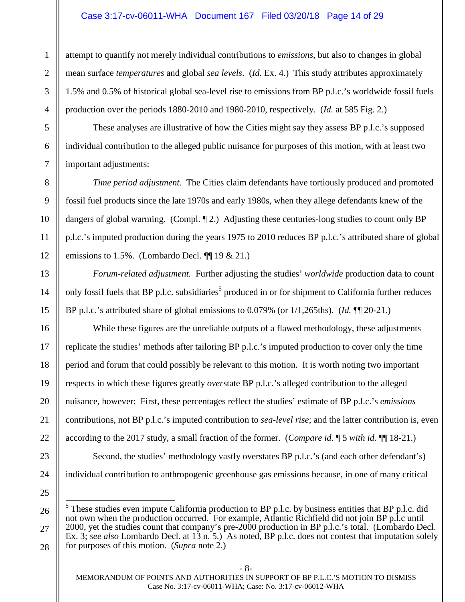### Case 3:17-cv-06011-WHA Document 167 Filed 03/20/18 Page 14 of 29

attempt to quantify not merely individual contributions to *emissions*, but also to changes in global mean surface *temperatures* and global *sea levels*. (*Id.* Ex. 4.) This study attributes approximately 1.5% and 0.5% of historical global sea-level rise to emissions from BP p.l.c.'s worldwide fossil fuels production over the periods 1880-2010 and 1980-2010, respectively. (*Id.* at 585 Fig. 2.)

These analyses are illustrative of how the Cities might say they assess BP p.l.c.'s supposed individual contribution to the alleged public nuisance for purposes of this motion, with at least two important adjustments:

*Time period adjustment.* The Cities claim defendants have tortiously produced and promoted fossil fuel products since the late 1970s and early 1980s, when they allege defendants knew of the dangers of global warming. (Compl. 12.) Adjusting these centuries-long studies to count only BP p.l.c.'s imputed production during the years 1975 to 2010 reduces BP p.l.c.'s attributed share of global emissions to 1.5%. (Lombardo Decl.  $\P$  19 & 21.)

*Forum-related adjustment.* Further adjusting the studies' *worldwide* production data to count only fossil fuels that BP p.l.c. subsidiaries<sup>5</sup> produced in or for shipment to California further reduces BP p.l.c.'s attributed share of global emissions to 0.079% (or 1/1,265ths). (*Id.* ¶¶ 20-21.)

While these figures are the unreliable outputs of a flawed methodology, these adjustments replicate the studies' methods after tailoring BP p.l.c.'s imputed production to cover only the time period and forum that could possibly be relevant to this motion. It is worth noting two important respects in which these figures greatly *over*state BP p.l.c.'s alleged contribution to the alleged nuisance, however: First, these percentages reflect the studies' estimate of BP p.l.c.'s *emissions* contributions, not BP p.l.c.'s imputed contribution to *sea-level rise*; and the latter contribution is, even according to the 2017 study, a small fraction of the former. (*Compare id.* ¶ 5 *with id.* ¶¶ 18-21.)

Second, the studies' methodology vastly overstates BP p.l.c.'s (and each other defendant's) individual contribution to anthropogenic greenhouse gas emissions because, in one of many critical

 $<sup>5</sup>$  These studies even impute California production to BP p.l.c. by business entities that BP p.l.c. did</sup> not own when the production occurred. For example, Atlantic Richfield did not join BP p.l.c until 2000, yet the studies count that company's pre-2000 production in BP p.l.c.'s total. (Lombardo Decl. Ex. 3; *see also* Lombardo Decl. at 13 n. 5.) As noted, BP p.l.c. does not contest that imputation solely for purposes of this motion. (*Supra* note 2.)

MEMORANDUM OF POINTS AND AUTHORITIES IN SUPPORT OF BP P.L.C.'S MOTION TO DISMISS Case No. 3:17-cv-06011-WHA; Case: No. 3:17-cv-06012-WHA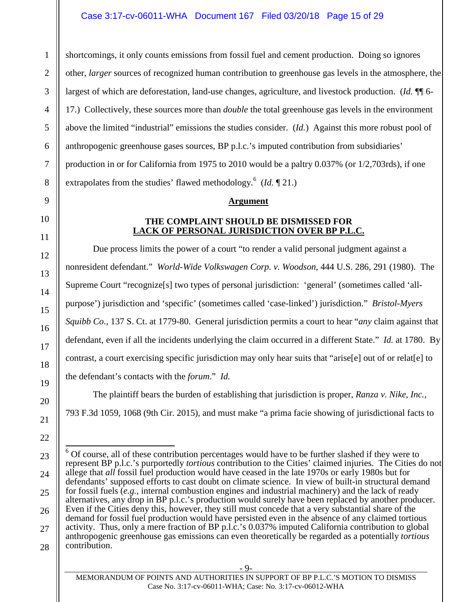shortcomings, it only counts emissions from fossil fuel and cement production. Doing so ignores other, *larger* sources of recognized human contribution to greenhouse gas levels in the atmosphere, the largest of which are deforestation, land-use changes, agriculture, and livestock production. (*Id.* ¶¶ 6- 17.) Collectively, these sources more than *double* the total greenhouse gas levels in the environment above the limited "industrial" emissions the studies consider. (*Id.*) Against this more robust pool of anthropogenic greenhouse gases sources, BP p.l.c.'s imputed contribution from subsidiaries' production in or for California from 1975 to 2010 would be a paltry 0.037% (or 1/2,703rds), if one extrapolates from the studies' flawed methodology.<sup>6</sup> (*Id.* 121.)

#### **Argument**

#### **THE COMPLAINT SHOULD BE DISMISSED FOR LACK OF PERSONAL JURISDICTION OVER BP P.L.C.**

Due process limits the power of a court "to render a valid personal judgment against a nonresident defendant." *World-Wide Volkswagen Corp. v. Woodson*, 444 U.S. 286, 291 (1980). The Supreme Court "recognize[s] two types of personal jurisdiction: 'general' (sometimes called 'allpurpose') jurisdiction and 'specific' (sometimes called 'case-linked') jurisdiction." *Bristol-Myers Squibb Co.*, 137 S. Ct. at 1779-80. General jurisdiction permits a court to hear "*any* claim against that defendant, even if all the incidents underlying the claim occurred in a different State." *Id.* at 1780. By contrast, a court exercising specific jurisdiction may only hear suits that "arise[e] out of or relat[e] to the defendant's contacts with the *forum*." *Id.*

The plaintiff bears the burden of establishing that jurisdiction is proper, *Ranza v. Nike, Inc.*, 793 F.3d 1059, 1068 (9th Cir. 2015), and must make "a prima facie showing of jurisdictional facts to

1

- 9-

 $6$  Of course, all of these contribution percentages would have to be further slashed if they were to represent BP p.l.c.'s purportedly *tortious* contribution to the Cities' claimed injuries. The Cities do not allege that *all* fossil fuel production would have ceased in the late 1970s or early 1980s but for defendants' supposed efforts to cast doubt on climate science. In view of built-in structural demand for fossil fuels (*e.g.*, internal combustion engines and industrial machinery) and the lack of ready alternatives, any drop in BP p.l.c.'s production would surely have been replaced by another producer. Even if the Cities deny this, however, they still must concede that a very substantial share of the demand for fossil fuel production would have persisted even in the absence of any claimed tortious activity. Thus, only a mere fraction of BP p.l.c.'s 0.037% imputed California contribution to global anthropogenic greenhouse gas emissions can even theoretically be regarded as a potentially *tortious* contribution.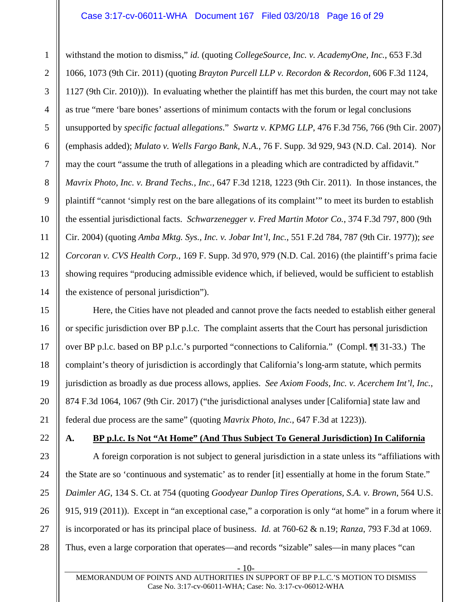#### Case 3:17-cv-06011-WHA Document 167 Filed 03/20/18 Page 16 of 29

withstand the motion to dismiss," *id.* (quoting *CollegeSource, Inc. v. AcademyOne, Inc.*, 653 F.3d 1066, 1073 (9th Cir. 2011) (quoting *Brayton Purcell LLP v. Recordon & Recordon*, 606 F.3d 1124, 1127 (9th Cir. 2010))). In evaluating whether the plaintiff has met this burden, the court may not take as true "mere 'bare bones' assertions of minimum contacts with the forum or legal conclusions unsupported by *specific factual allegations*." *Swartz v. KPMG LLP*, 476 F.3d 756, 766 (9th Cir. 2007) (emphasis added); *Mulato v. Wells Fargo Bank, N.A.*, 76 F. Supp. 3d 929, 943 (N.D. Cal. 2014). Nor may the court "assume the truth of allegations in a pleading which are contradicted by affidavit." *Mavrix Photo, Inc. v. Brand Techs., Inc.*, 647 F.3d 1218, 1223 (9th Cir. 2011). In those instances, the plaintiff "cannot 'simply rest on the bare allegations of its complaint'" to meet its burden to establish the essential jurisdictional facts. *Schwarzenegger v. Fred Martin Motor Co.*, 374 F.3d 797, 800 (9th Cir. 2004) (quoting *Amba Mktg. Sys., Inc. v. Jobar Int'l, Inc.*, 551 F.2d 784, 787 (9th Cir. 1977)); *see Corcoran v. CVS Health Corp.*, 169 F. Supp. 3d 970, 979 (N.D. Cal. 2016) (the plaintiff's prima facie showing requires "producing admissible evidence which, if believed, would be sufficient to establish the existence of personal jurisdiction").

Here, the Cities have not pleaded and cannot prove the facts needed to establish either general or specific jurisdiction over BP p.l.c. The complaint asserts that the Court has personal jurisdiction over BP p.l.c. based on BP p.l.c.'s purported "connections to California." (Compl. ¶¶ 31-33.) The complaint's theory of jurisdiction is accordingly that California's long-arm statute, which permits jurisdiction as broadly as due process allows, applies. *See Axiom Foods, Inc. v. Acerchem Int'l, Inc.*, 874 F.3d 1064, 1067 (9th Cir. 2017) ("the jurisdictional analyses under [California] state law and federal due process are the same" (quoting *Mavrix Photo, Inc.*, 647 F.3d at 1223)).

**A. BP p.l.c. Is Not "At Home" (And Thus Subject To General Jurisdiction) In California** 

A foreign corporation is not subject to general jurisdiction in a state unless its "affiliations with the State are so 'continuous and systematic' as to render [it] essentially at home in the forum State." *Daimler AG*, 134 S. Ct. at 754 (quoting *Goodyear Dunlop Tires Operations, S.A. v. Brown*, 564 U.S. 915, 919 (2011)). Except in "an exceptional case," a corporation is only "at home" in a forum where it is incorporated or has its principal place of business. *Id.* at 760-62 & n.19; *Ranza*, 793 F.3d at 1069. Thus, even a large corporation that operates—and records "sizable" sales—in many places "can

- 10-

1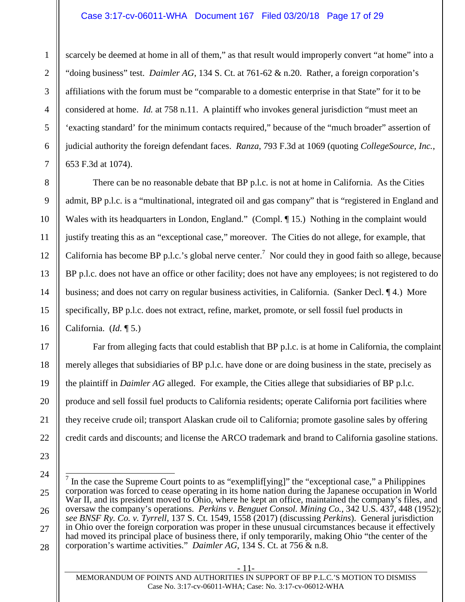#### Case 3:17-cv-06011-WHA Document 167 Filed 03/20/18 Page 17 of 29

scarcely be deemed at home in all of them," as that result would improperly convert "at home" into a "doing business" test. *Daimler AG*, 134 S. Ct. at 761-62 & n.20. Rather, a foreign corporation's affiliations with the forum must be "comparable to a domestic enterprise in that State" for it to be considered at home. *Id.* at 758 n.11. A plaintiff who invokes general jurisdiction "must meet an 'exacting standard' for the minimum contacts required," because of the "much broader" assertion of judicial authority the foreign defendant faces. *Ranza*, 793 F.3d at 1069 (quoting *CollegeSource, Inc.*, 653 F.3d at 1074).

There can be no reasonable debate that BP p.l.c. is not at home in California. As the Cities admit, BP p.l.c. is a "multinational, integrated oil and gas company" that is "registered in England and Wales with its headquarters in London, England." (Compl. ¶ 15.) Nothing in the complaint would justify treating this as an "exceptional case," moreover. The Cities do not allege, for example, that California has become BP p.l.c.'s global nerve center.<sup>7</sup> Nor could they in good faith so allege, because BP p.l.c. does not have an office or other facility; does not have any employees; is not registered to do business; and does not carry on regular business activities, in California. (Sanker Decl. ¶ 4.) More specifically, BP p.l.c. does not extract, refine, market, promote, or sell fossil fuel products in California. (*Id.* ¶ 5.)

Far from alleging facts that could establish that BP p.l.c. is at home in California, the complaint merely alleges that subsidiaries of BP p.l.c. have done or are doing business in the state, precisely as the plaintiff in *Daimler AG* alleged. For example, the Cities allege that subsidiaries of BP p.l.c. produce and sell fossil fuel products to California residents; operate California port facilities where they receive crude oil; transport Alaskan crude oil to California; promote gasoline sales by offering credit cards and discounts; and license the ARCO trademark and brand to California gasoline stations.

- 11-

MEMORANDUM OF POINTS AND AUTHORITIES IN SUPPORT OF BP P.L.C.'S MOTION TO DISMISS Case No. 3:17-cv-06011-WHA; Case: No. 3:17-cv-06012-WHA

<sup>7</sup> In the case the Supreme Court points to as "exemplif[ying]" the "exceptional case," a Philippines corporation was forced to cease operating in its home nation during the Japanese occupation in World War II, and its president moved to Ohio, where he kept an office, maintained the company's files, and oversaw the company's operations. *Perkins v. Benguet Consol. Mining Co.*, 342 U.S. 437, 448 (1952); *see BNSF Ry. Co. v. Tyrrell*, 137 S. Ct. 1549, 1558 (2017) (discussing *Perkins*). General jurisdiction in Ohio over the foreign corporation was proper in these unusual circumstances because it effectively had moved its principal place of business there, if only temporarily, making Ohio "the center of the corporation's wartime activities." *Daimler AG*, 134 S. Ct. at 756 & n.8.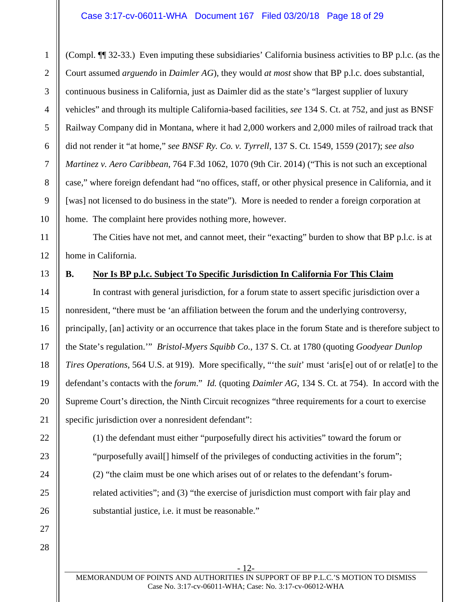#### Case 3:17-cv-06011-WHA Document 167 Filed 03/20/18 Page 18 of 29

(Compl. ¶¶ 32-33.) Even imputing these subsidiaries' California business activities to BP p.l.c. (as the Court assumed *arguendo* in *Daimler AG*), they would *at most* show that BP p.l.c. does substantial, continuous business in California, just as Daimler did as the state's "largest supplier of luxury vehicles" and through its multiple California-based facilities, *see* 134 S. Ct. at 752, and just as BNSF Railway Company did in Montana, where it had 2,000 workers and 2,000 miles of railroad track that did not render it "at home," *see BNSF Ry. Co. v. Tyrrell*, 137 S. Ct. 1549, 1559 (2017); *see also Martinez v. Aero Caribbean*, 764 F.3d 1062, 1070 (9th Cir. 2014) ("This is not such an exceptional case," where foreign defendant had "no offices, staff, or other physical presence in California, and it [was] not licensed to do business in the state"). More is needed to render a foreign corporation at home. The complaint here provides nothing more, however.

The Cities have not met, and cannot meet, their "exacting" burden to show that BP p.l.c. is at home in California.

#### **B. Nor Is BP p.l.c. Subject To Specific Jurisdiction In California For This Claim**

In contrast with general jurisdiction, for a forum state to assert specific jurisdiction over a nonresident, "there must be 'an affiliation between the forum and the underlying controversy, principally, [an] activity or an occurrence that takes place in the forum State and is therefore subject to the State's regulation.'" *Bristol-Myers Squibb Co.*, 137 S. Ct. at 1780 (quoting *Goodyear Dunlop Tires Operations*, 564 U.S. at 919). More specifically, "'the *suit*' must 'aris[e] out of or relat[e] to the defendant's contacts with the *forum*." *Id.* (quoting *Daimler AG*, 134 S. Ct. at 754). In accord with the Supreme Court's direction, the Ninth Circuit recognizes "three requirements for a court to exercise specific jurisdiction over a nonresident defendant":

(1) the defendant must either "purposefully direct his activities" toward the forum or "purposefully avail[] himself of the privileges of conducting activities in the forum"; (2) "the claim must be one which arises out of or relates to the defendant's forumrelated activities"; and (3) "the exercise of jurisdiction must comport with fair play and substantial justice, i.e. it must be reasonable."

1

2

3

4

5

6

7

8

9

10

11

12

13

14

MEMORANDUM OF POINTS AND AUTHORITIES IN SUPPORT OF BP P.L.C.'S MOTION TO DISMISS Case No. 3:17-cv-06011-WHA; Case: No. 3:17-cv-06012-WHA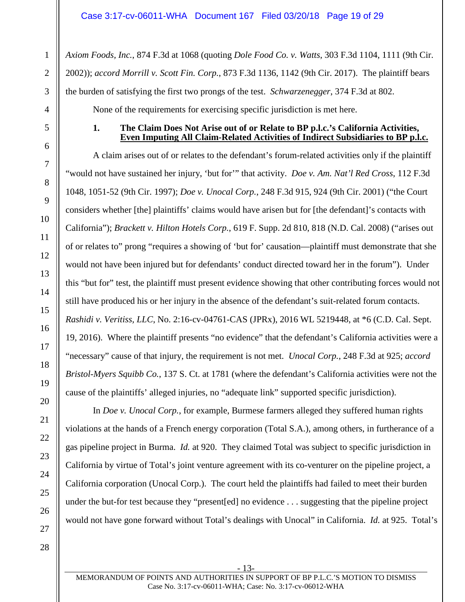*Axiom Foods, Inc.*, 874 F.3d at 1068 (quoting *Dole Food Co. v. Watts*, 303 F.3d 1104, 1111 (9th Cir. 2002)); *accord Morrill v. Scott Fin. Corp.*, 873 F.3d 1136, 1142 (9th Cir. 2017). The plaintiff bears the burden of satisfying the first two prongs of the test. *Schwarzenegger*, 374 F.3d at 802.

None of the requirements for exercising specific jurisdiction is met here.

#### **1. The Claim Does Not Arise out of or Relate to BP p.l.c.'s California Activities, Even Imputing All Claim-Related Activities of Indirect Subsidiaries to BP p.l.c.**

A claim arises out of or relates to the defendant's forum-related activities only if the plaintiff "would not have sustained her injury, 'but for'" that activity. *Doe v. Am. Nat'l Red Cross*, 112 F.3d 1048, 1051-52 (9th Cir. 1997); *Doe v. Unocal Corp.*, 248 F.3d 915, 924 (9th Cir. 2001) ("the Court considers whether [the] plaintiffs' claims would have arisen but for [the defendant]'s contacts with California"); *Brackett v. Hilton Hotels Corp.*, 619 F. Supp. 2d 810, 818 (N.D. Cal. 2008) ("arises out of or relates to" prong "requires a showing of 'but for' causation—plaintiff must demonstrate that she would not have been injured but for defendants' conduct directed toward her in the forum"). Under this "but for" test, the plaintiff must present evidence showing that other contributing forces would not still have produced his or her injury in the absence of the defendant's suit-related forum contacts. *Rashidi v. Veritiss, LLC*, No. 2:16-cv-04761-CAS (JPRx), 2016 WL 5219448, at \*6 (C.D. Cal. Sept. 19, 2016). Where the plaintiff presents "no evidence" that the defendant's California activities were a "necessary" cause of that injury, the requirement is not met. *Unocal Corp.*, 248 F.3d at 925; *accord Bristol-Myers Squibb Co.*, 137 S. Ct. at 1781 (where the defendant's California activities were not the cause of the plaintiffs' alleged injuries, no "adequate link" supported specific jurisdiction).

In *Doe v. Unocal Corp.*, for example, Burmese farmers alleged they suffered human rights violations at the hands of a French energy corporation (Total S.A.), among others, in furtherance of a gas pipeline project in Burma. *Id.* at 920. They claimed Total was subject to specific jurisdiction in California by virtue of Total's joint venture agreement with its co-venturer on the pipeline project, a California corporation (Unocal Corp.). The court held the plaintiffs had failed to meet their burden under the but-for test because they "present[ed] no evidence . . . suggesting that the pipeline project would not have gone forward without Total's dealings with Unocal" in California. *Id.* at 925. Total's

- 13-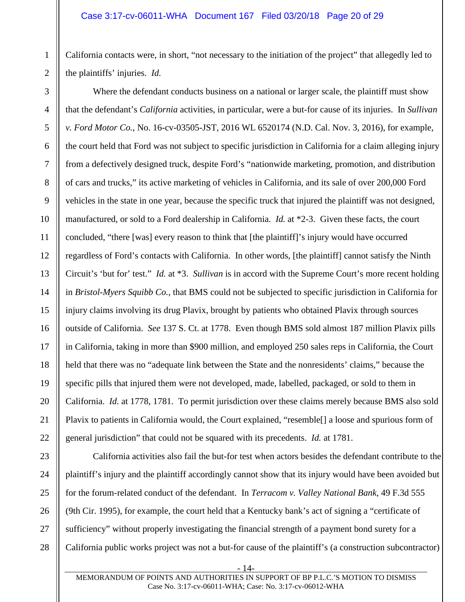California contacts were, in short, "not necessary to the initiation of the project" that allegedly led to the plaintiffs' injuries. *Id.*

Where the defendant conducts business on a national or larger scale, the plaintiff must show that the defendant's *California* activities, in particular, were a but-for cause of its injuries. In *Sullivan v. Ford Motor Co.*, No. 16-cv-03505-JST, 2016 WL 6520174 (N.D. Cal. Nov. 3, 2016), for example, the court held that Ford was not subject to specific jurisdiction in California for a claim alleging injury from a defectively designed truck, despite Ford's "nationwide marketing, promotion, and distribution of cars and trucks," its active marketing of vehicles in California, and its sale of over 200,000 Ford vehicles in the state in one year, because the specific truck that injured the plaintiff was not designed, manufactured, or sold to a Ford dealership in California. *Id.* at \*2-3. Given these facts, the court concluded, "there [was] every reason to think that [the plaintiff]'s injury would have occurred regardless of Ford's contacts with California. In other words, [the plaintiff] cannot satisfy the Ninth Circuit's 'but for' test." *Id.* at \*3. *Sullivan* is in accord with the Supreme Court's more recent holding in *Bristol-Myers Squibb Co.*, that BMS could not be subjected to specific jurisdiction in California for injury claims involving its drug Plavix, brought by patients who obtained Plavix through sources outside of California. *See* 137 S. Ct. at 1778. Even though BMS sold almost 187 million Plavix pills in California, taking in more than \$900 million, and employed 250 sales reps in California, the Court held that there was no "adequate link between the State and the nonresidents' claims," because the specific pills that injured them were not developed, made, labelled, packaged, or sold to them in California. *Id.* at 1778, 1781. To permit jurisdiction over these claims merely because BMS also sold Plavix to patients in California would, the Court explained, "resemble[] a loose and spurious form of general jurisdiction" that could not be squared with its precedents. *Id.* at 1781.

California activities also fail the but-for test when actors besides the defendant contribute to the plaintiff's injury and the plaintiff accordingly cannot show that its injury would have been avoided but for the forum-related conduct of the defendant. In *Terracom v. Valley National Bank*, 49 F.3d 555 (9th Cir. 1995), for example, the court held that a Kentucky bank's act of signing a "certificate of sufficiency" without properly investigating the financial strength of a payment bond surety for a California public works project was not a but-for cause of the plaintiff's (a construction subcontractor)

- 14-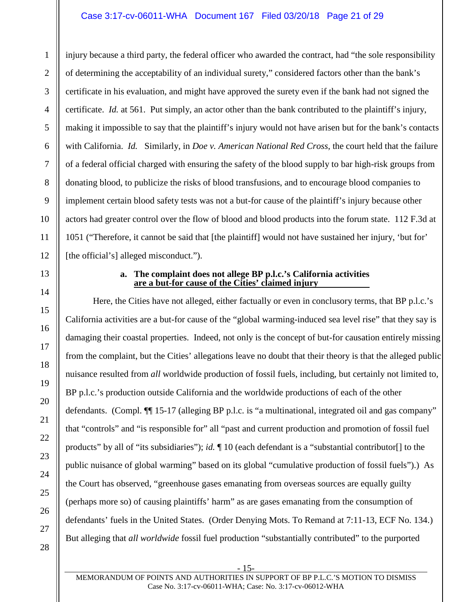#### Case 3:17-cv-06011-WHA Document 167 Filed 03/20/18 Page 21 of 29

injury because a third party, the federal officer who awarded the contract, had "the sole responsibility of determining the acceptability of an individual surety," considered factors other than the bank's certificate in his evaluation, and might have approved the surety even if the bank had not signed the certificate. *Id.* at 561. Put simply, an actor other than the bank contributed to the plaintiff's injury, making it impossible to say that the plaintiff's injury would not have arisen but for the bank's contacts with California. *Id.* Similarly, in *Doe v. American National Red Cross*, the court held that the failure of a federal official charged with ensuring the safety of the blood supply to bar high-risk groups from donating blood, to publicize the risks of blood transfusions, and to encourage blood companies to implement certain blood safety tests was not a but-for cause of the plaintiff's injury because other actors had greater control over the flow of blood and blood products into the forum state. 112 F.3d at 1051 ("Therefore, it cannot be said that [the plaintiff] would not have sustained her injury, 'but for' [the official's] alleged misconduct.").

#### **a. The complaint does not allege BP p.l.c.'s California activities are a but-for cause of the Cities' claimed injury**

Here, the Cities have not alleged, either factually or even in conclusory terms, that BP p.l.c.'s California activities are a but-for cause of the "global warming-induced sea level rise" that they say is damaging their coastal properties. Indeed, not only is the concept of but-for causation entirely missing from the complaint, but the Cities' allegations leave no doubt that their theory is that the alleged public nuisance resulted from *all* worldwide production of fossil fuels, including, but certainly not limited to, BP p.l.c.'s production outside California and the worldwide productions of each of the other defendants. (Compl. ¶¶ 15-17 (alleging BP p.l.c. is "a multinational, integrated oil and gas company" that "controls" and "is responsible for" all "past and current production and promotion of fossil fuel products" by all of "its subsidiaries"); *id.* ¶ 10 (each defendant is a "substantial contributor[] to the public nuisance of global warming" based on its global "cumulative production of fossil fuels").) As the Court has observed, "greenhouse gases emanating from overseas sources are equally guilty (perhaps more so) of causing plaintiffs' harm" as are gases emanating from the consumption of defendants' fuels in the United States. (Order Denying Mots. To Remand at 7:11-13, ECF No. 134.) But alleging that *all worldwide* fossil fuel production "substantially contributed" to the purported

1

- 15-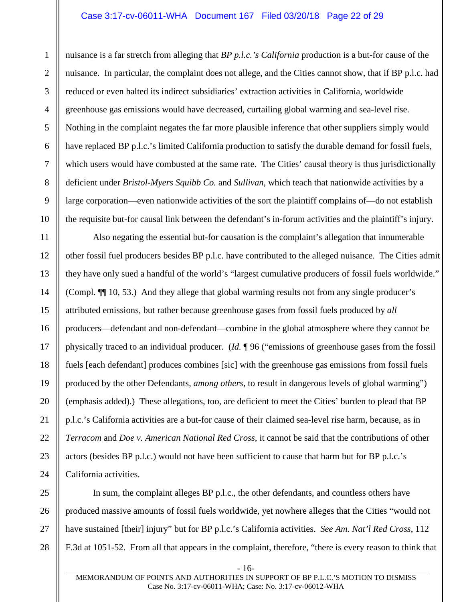#### Case 3:17-cv-06011-WHA Document 167 Filed 03/20/18 Page 22 of 29

nuisance is a far stretch from alleging that *BP p.l.c.'s California* production is a but-for cause of the nuisance. In particular, the complaint does not allege, and the Cities cannot show, that if BP p.l.c. had reduced or even halted its indirect subsidiaries' extraction activities in California, worldwide greenhouse gas emissions would have decreased, curtailing global warming and sea-level rise. Nothing in the complaint negates the far more plausible inference that other suppliers simply would have replaced BP p.l.c.'s limited California production to satisfy the durable demand for fossil fuels, which users would have combusted at the same rate. The Cities' causal theory is thus jurisdictionally deficient under *Bristol-Myers Squibb Co.* and *Sullivan*, which teach that nationwide activities by a large corporation—even nationwide activities of the sort the plaintiff complains of—do not establish the requisite but-for causal link between the defendant's in-forum activities and the plaintiff's injury.

Also negating the essential but-for causation is the complaint's allegation that innumerable other fossil fuel producers besides BP p.l.c. have contributed to the alleged nuisance. The Cities admit they have only sued a handful of the world's "largest cumulative producers of fossil fuels worldwide." (Compl. ¶¶ 10, 53.) And they allege that global warming results not from any single producer's attributed emissions, but rather because greenhouse gases from fossil fuels produced by *all* producers—defendant and non-defendant—combine in the global atmosphere where they cannot be physically traced to an individual producer. (*Id.* ¶ 96 ("emissions of greenhouse gases from the fossil fuels [each defendant] produces combines [sic] with the greenhouse gas emissions from fossil fuels produced by the other Defendants, *among others*, to result in dangerous levels of global warming") (emphasis added).) These allegations, too, are deficient to meet the Cities' burden to plead that BP p.l.c.'s California activities are a but-for cause of their claimed sea-level rise harm, because, as in *Terracom* and *Doe v. American National Red Cross*, it cannot be said that the contributions of other actors (besides BP p.l.c.) would not have been sufficient to cause that harm but for BP p.l.c.'s California activities.

In sum, the complaint alleges BP p.l.c., the other defendants, and countless others have produced massive amounts of fossil fuels worldwide, yet nowhere alleges that the Cities "would not have sustained [their] injury" but for BP p.l.c.'s California activities. *See Am. Nat'l Red Cross*, 112 F.3d at 1051-52. From all that appears in the complaint, therefore, "there is every reason to think that

- 16-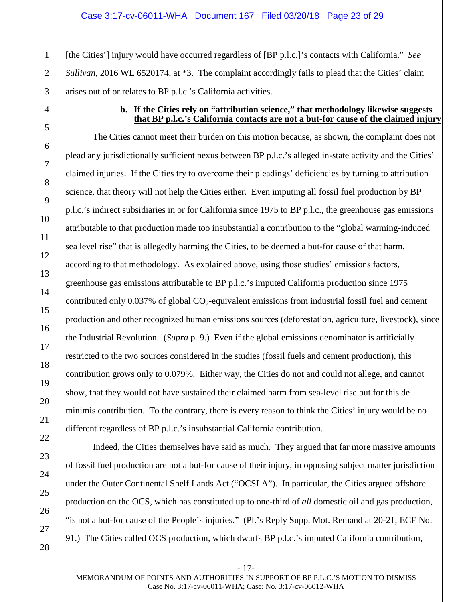[the Cities'] injury would have occurred regardless of [BP p.l.c.]'s contacts with California." *See Sullivan*, 2016 WL 6520174, at  $*3$ . The complaint accordingly fails to plead that the Cities' claim arises out of or relates to BP p.l.c.'s California activities.

#### **b. If the Cities rely on "attribution science," that methodology likewise suggests that BP p.l.c.'s California contacts are not a but-for cause of the claimed injury**

The Cities cannot meet their burden on this motion because, as shown, the complaint does not plead any jurisdictionally sufficient nexus between BP p.l.c.'s alleged in-state activity and the Cities' claimed injuries. If the Cities try to overcome their pleadings' deficiencies by turning to attribution science, that theory will not help the Cities either. Even imputing all fossil fuel production by BP p.l.c.'s indirect subsidiaries in or for California since 1975 to BP p.l.c., the greenhouse gas emissions attributable to that production made too insubstantial a contribution to the "global warming-induced sea level rise" that is allegedly harming the Cities, to be deemed a but-for cause of that harm, according to that methodology. As explained above, using those studies' emissions factors, greenhouse gas emissions attributable to BP p.l.c.'s imputed California production since 1975 contributed only 0.037% of global  $CO_2$ -equivalent emissions from industrial fossil fuel and cement production and other recognized human emissions sources (deforestation, agriculture, livestock), since the Industrial Revolution. (*Supra* p. 9.) Even if the global emissions denominator is artificially restricted to the two sources considered in the studies (fossil fuels and cement production), this contribution grows only to 0.079%. Either way, the Cities do not and could not allege, and cannot show, that they would not have sustained their claimed harm from sea-level rise but for this de minimis contribution. To the contrary, there is every reason to think the Cities' injury would be no different regardless of BP p.l.c.'s insubstantial California contribution.

Indeed, the Cities themselves have said as much. They argued that far more massive amounts of fossil fuel production are not a but-for cause of their injury, in opposing subject matter jurisdiction under the Outer Continental Shelf Lands Act ("OCSLA"). In particular, the Cities argued offshore production on the OCS, which has constituted up to one-third of *all* domestic oil and gas production, "is not a but-for cause of the People's injuries." (Pl.'s Reply Supp. Mot. Remand at 20-21, ECF No. 91.) The Cities called OCS production, which dwarfs BP p.l.c.'s imputed California contribution,

- 17-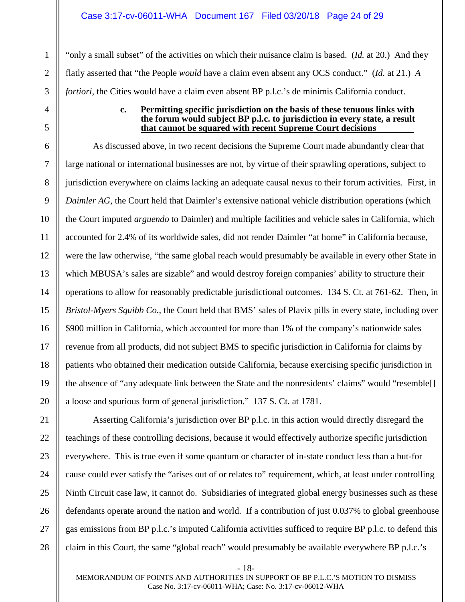"only a small subset" of the activities on which their nuisance claim is based. (*Id.* at 20.) And they flatly asserted that "the People *would* have a claim even absent any OCS conduct." (*Id.* at 21.) *A fortiori*, the Cities would have a claim even absent BP p.l.c.'s de minimis California conduct.

#### **c. Permitting specific jurisdiction on the basis of these tenuous links with the forum would subject BP p.l.c. to jurisdiction in every state, a result that cannot be squared with recent Supreme Court decisions**

As discussed above, in two recent decisions the Supreme Court made abundantly clear that large national or international businesses are not, by virtue of their sprawling operations, subject to jurisdiction everywhere on claims lacking an adequate causal nexus to their forum activities. First, in *Daimler AG*, the Court held that Daimler's extensive national vehicle distribution operations (which the Court imputed *arguendo* to Daimler) and multiple facilities and vehicle sales in California, which accounted for 2.4% of its worldwide sales, did not render Daimler "at home" in California because, were the law otherwise, "the same global reach would presumably be available in every other State in which MBUSA's sales are sizable" and would destroy foreign companies' ability to structure their operations to allow for reasonably predictable jurisdictional outcomes. 134 S. Ct. at 761-62. Then, in *Bristol-Myers Squibb Co.*, the Court held that BMS' sales of Plavix pills in every state, including over \$900 million in California, which accounted for more than 1% of the company's nationwide sales revenue from all products, did not subject BMS to specific jurisdiction in California for claims by patients who obtained their medication outside California, because exercising specific jurisdiction in the absence of "any adequate link between the State and the nonresidents' claims" would "resemble[] a loose and spurious form of general jurisdiction." 137 S. Ct. at 1781.

Asserting California's jurisdiction over BP p.l.c. in this action would directly disregard the teachings of these controlling decisions, because it would effectively authorize specific jurisdiction everywhere. This is true even if some quantum or character of in-state conduct less than a but-for cause could ever satisfy the "arises out of or relates to" requirement, which, at least under controlling Ninth Circuit case law, it cannot do. Subsidiaries of integrated global energy businesses such as these defendants operate around the nation and world. If a contribution of just 0.037% to global greenhouse gas emissions from BP p.l.c.'s imputed California activities sufficed to require BP p.l.c. to defend this claim in this Court, the same "global reach" would presumably be available everywhere BP p.l.c.'s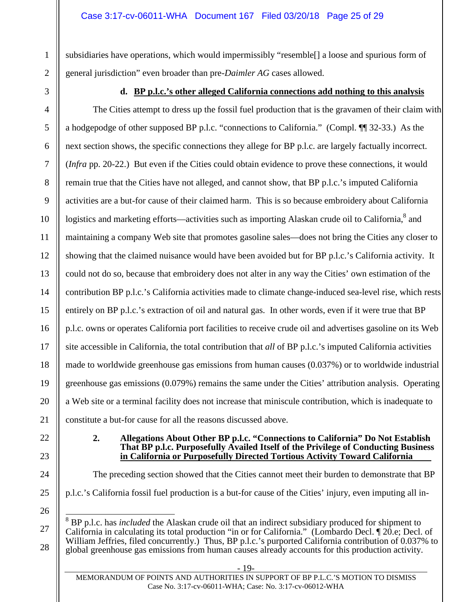subsidiaries have operations, which would impermissibly "resemble[] a loose and spurious form of general jurisdiction" even broader than pre-*Daimler AG* cases allowed.

1

 $\mathfrak{D}$ 

3

4

5

6

7

8

9

10

11

12

13

14

15

16

17

18

19

20

21

# **d. BP p.l.c.'s other alleged California connections add nothing to this analysis**

The Cities attempt to dress up the fossil fuel production that is the gravamen of their claim with a hodgepodge of other supposed BP p.l.c. "connections to California." (Compl. ¶¶ 32-33.) As the next section shows, the specific connections they allege for BP p.l.c. are largely factually incorrect. (*Infra* pp. 20-22.) But even if the Cities could obtain evidence to prove these connections, it would remain true that the Cities have not alleged, and cannot show, that BP p.l.c.'s imputed California activities are a but-for cause of their claimed harm. This is so because embroidery about California logistics and marketing efforts—activities such as importing Alaskan crude oil to California,<sup>8</sup> and maintaining a company Web site that promotes gasoline sales—does not bring the Cities any closer to showing that the claimed nuisance would have been avoided but for BP p.l.c.'s California activity. It could not do so, because that embroidery does not alter in any way the Cities' own estimation of the contribution BP p.l.c.'s California activities made to climate change-induced sea-level rise, which rests entirely on BP p.l.c.'s extraction of oil and natural gas. In other words, even if it were true that BP p.l.c. owns or operates California port facilities to receive crude oil and advertises gasoline on its Web site accessible in California, the total contribution that *all* of BP p.l.c.'s imputed California activities made to worldwide greenhouse gas emissions from human causes (0.037%) or to worldwide industrial greenhouse gas emissions (0.079%) remains the same under the Cities' attribution analysis. Operating a Web site or a terminal facility does not increase that miniscule contribution, which is inadequate to constitute a but-for cause for all the reasons discussed above.

22 23

24

25

#### **2. Allegations About Other BP p.l.c. "Connections to California" Do Not Establish That BP p.l.c. Purposefully Availed Itself of the Privilege of Conducting Business in California or Purposefully Directed Tortious Activity Toward California**

The preceding section showed that the Cities cannot meet their burden to demonstrate that BP p.l.c.'s California fossil fuel production is a but-for cause of the Cities' injury, even imputing all in-

26 27

28

8 BP p.l.c. has *included* the Alaskan crude oil that an indirect subsidiary produced for shipment to California in calculating its total production "in or for California." (Lombardo Decl. ¶ 20.e; Decl. of William Jeffries, filed concurrently.) Thus, BP p.l.c.'s purported California contribution of 0.037% to global greenhouse gas emissions from human causes already accounts for this production activity.

- 19-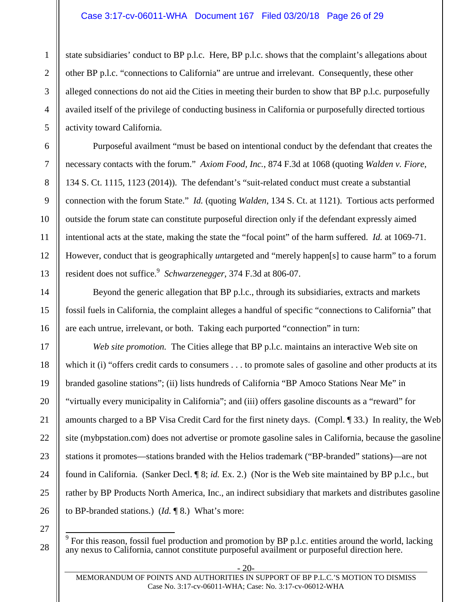#### Case 3:17-cv-06011-WHA Document 167 Filed 03/20/18 Page 26 of 29

state subsidiaries' conduct to BP p.l.c. Here, BP p.l.c. shows that the complaint's allegations about other BP p.l.c. "connections to California" are untrue and irrelevant. Consequently, these other alleged connections do not aid the Cities in meeting their burden to show that BP p.l.c. purposefully availed itself of the privilege of conducting business in California or purposefully directed tortious activity toward California.

Purposeful availment "must be based on intentional conduct by the defendant that creates the necessary contacts with the forum." *Axiom Food, Inc.*, 874 F.3d at 1068 (quoting *Walden v. Fiore*, 134 S. Ct. 1115, 1123 (2014)). The defendant's "suit-related conduct must create a substantial connection with the forum State." *Id.* (quoting *Walden*, 134 S. Ct. at 1121). Tortious acts performed outside the forum state can constitute purposeful direction only if the defendant expressly aimed intentional acts at the state, making the state the "focal point" of the harm suffered. *Id.* at 1069-71. However, conduct that is geographically *un*targeted and "merely happen[s] to cause harm" to a forum resident does not suffice.<sup>9</sup> Schwarzenegger, 374 F.3d at 806-07.

Beyond the generic allegation that BP p.l.c., through its subsidiaries, extracts and markets fossil fuels in California, the complaint alleges a handful of specific "connections to California" that are each untrue, irrelevant, or both. Taking each purported "connection" in turn:

*Web site promotion.* The Cities allege that BP p.l.c. maintains an interactive Web site on which it (i) "offers credit cards to consumers . . . to promote sales of gasoline and other products at its branded gasoline stations"; (ii) lists hundreds of California "BP Amoco Stations Near Me" in "virtually every municipality in California"; and (iii) offers gasoline discounts as a "reward" for amounts charged to a BP Visa Credit Card for the first ninety days. (Compl. ¶ 33.) In reality, the Web site (mybpstation.com) does not advertise or promote gasoline sales in California, because the gasoline stations it promotes—stations branded with the Helios trademark ("BP-branded" stations)—are not found in California. (Sanker Decl. ¶ 8; *id.* Ex. 2.) (Nor is the Web site maintained by BP p.l.c., but rather by BP Products North America, Inc., an indirect subsidiary that markets and distributes gasoline to BP-branded stations.) (*Id.* ¶ 8.) What's more:

27 28

1

2

3

4

5

6

7

8

9

10

11

12

13

14

15

16

17

18

19

20

21

22

23

24

25

26

 $9^9$  For this reason, fossil fuel production and promotion by BP p.l.c. entities around the world, lacking any nexus to California, cannot constitute purposeful availment or purposeful direction here.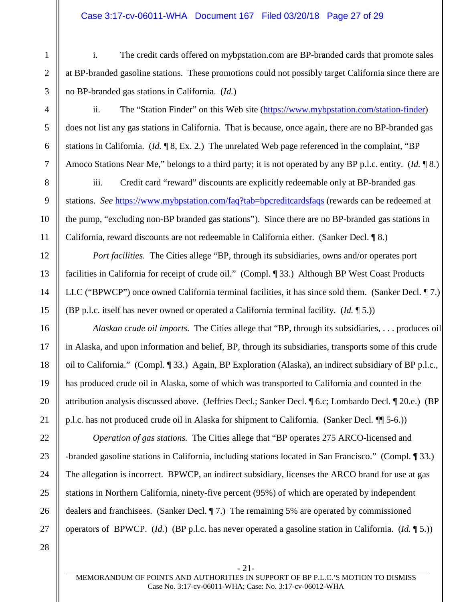#### Case 3:17-cv-06011-WHA Document 167 Filed 03/20/18 Page 27 of 29

i. The credit cards offered on mybpstation.com are BP-branded cards that promote sales at BP-branded gasoline stations. These promotions could not possibly target California since there are no BP-branded gas stations in California. (*Id.*)

ii. The "Station Finder" on this Web site (https://www.mybpstation.com/station-finder) does not list any gas stations in California. That is because, once again, there are no BP-branded gas stations in California. (*Id.* ¶ 8, Ex. 2.) The unrelated Web page referenced in the complaint, "BP Amoco Stations Near Me," belongs to a third party; it is not operated by any BP p.l.c. entity. (*Id.* ¶ 8.)

iii. Credit card "reward" discounts are explicitly redeemable only at BP-branded gas stations. *See* https://www.mybpstation.com/faq?tab=bpcreditcardsfaqs (rewards can be redeemed at the pump, "excluding non-BP branded gas stations"). Since there are no BP-branded gas stations in California, reward discounts are not redeemable in California either. (Sanker Decl. ¶ 8.)

*Port facilities.* The Cities allege "BP, through its subsidiaries, owns and/or operates port facilities in California for receipt of crude oil." (Compl. ¶ 33.) Although BP West Coast Products LLC ("BPWCP") once owned California terminal facilities, it has since sold them. (Sanker Decl. ¶ 7.) (BP p.l.c. itself has never owned or operated a California terminal facility. (*Id.* ¶ 5.))

*Alaskan crude oil imports.* The Cities allege that "BP, through its subsidiaries, . . . produces oil in Alaska, and upon information and belief, BP, through its subsidiaries, transports some of this crude oil to California." (Compl. ¶ 33.) Again, BP Exploration (Alaska), an indirect subsidiary of BP p.l.c., has produced crude oil in Alaska, some of which was transported to California and counted in the attribution analysis discussed above. (Jeffries Decl.; Sanker Decl. ¶ 6.c; Lombardo Decl. ¶ 20.e.) (BP p.l.c. has not produced crude oil in Alaska for shipment to California. (Sanker Decl*.* ¶¶ 5-6.))

*Operation of gas stations.* The Cities allege that "BP operates 275 ARCO-licensed and -branded gasoline stations in California, including stations located in San Francisco." (Compl. ¶ 33.) The allegation is incorrect. BPWCP, an indirect subsidiary, licenses the ARCO brand for use at gas stations in Northern California, ninety-five percent (95%) of which are operated by independent dealers and franchisees. (Sanker Decl. ¶ 7.) The remaining 5% are operated by commissioned operators of BPWCP. (*Id.*) (BP p.l.c. has never operated a gasoline station in California. (*Id.* ¶ 5.))

- 21-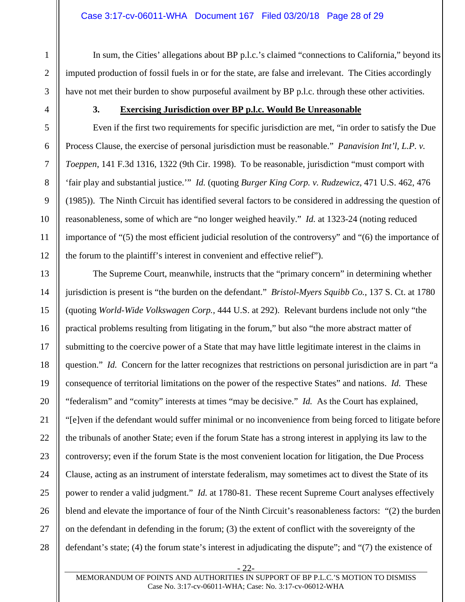In sum, the Cities' allegations about BP p.l.c.'s claimed "connections to California," beyond its imputed production of fossil fuels in or for the state, are false and irrelevant. The Cities accordingly have not met their burden to show purposeful availment by BP p.l.c. through these other activities.

#### **3. Exercising Jurisdiction over BP p.l.c. Would Be Unreasonable**

Even if the first two requirements for specific jurisdiction are met, "in order to satisfy the Due Process Clause, the exercise of personal jurisdiction must be reasonable." *Panavision Int'l, L.P. v. Toeppen*, 141 F.3d 1316, 1322 (9th Cir. 1998). To be reasonable, jurisdiction "must comport with 'fair play and substantial justice.'" *Id.* (quoting *Burger King Corp. v. Rudzewicz*, 471 U.S. 462, 476 (1985)). The Ninth Circuit has identified several factors to be considered in addressing the question of reasonableness, some of which are "no longer weighed heavily." *Id.* at 1323-24 (noting reduced importance of "(5) the most efficient judicial resolution of the controversy" and "(6) the importance of the forum to the plaintiff's interest in convenient and effective relief").

The Supreme Court, meanwhile, instructs that the "primary concern" in determining whether jurisdiction is present is "the burden on the defendant." *Bristol-Myers Squibb Co.*, 137 S. Ct. at 1780 (quoting *World-Wide Volkswagen Corp.,* 444 U.S. at 292). Relevant burdens include not only "the practical problems resulting from litigating in the forum," but also "the more abstract matter of submitting to the coercive power of a State that may have little legitimate interest in the claims in question." *Id.* Concern for the latter recognizes that restrictions on personal jurisdiction are in part "a consequence of territorial limitations on the power of the respective States" and nations. *Id.* These "federalism" and "comity" interests at times "may be decisive." *Id.* As the Court has explained, "[e]ven if the defendant would suffer minimal or no inconvenience from being forced to litigate before the tribunals of another State; even if the forum State has a strong interest in applying its law to the controversy; even if the forum State is the most convenient location for litigation, the Due Process Clause, acting as an instrument of interstate federalism, may sometimes act to divest the State of its power to render a valid judgment." *Id.* at 1780-81. These recent Supreme Court analyses effectively blend and elevate the importance of four of the Ninth Circuit's reasonableness factors: "(2) the burden on the defendant in defending in the forum; (3) the extent of conflict with the sovereignty of the defendant's state; (4) the forum state's interest in adjudicating the dispute"; and "(7) the existence of

1

- 22-